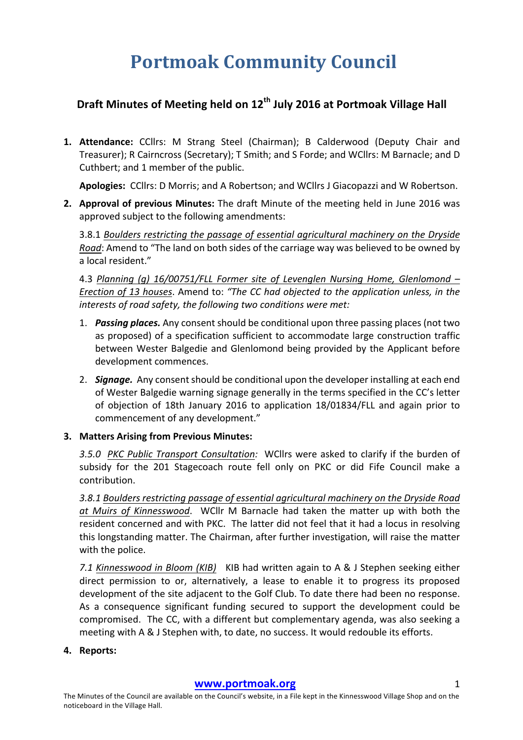# **Portmoak Community Council**

## **Draft Minutes of Meeting held on 12th July 2016 at Portmoak Village Hall**

1. Attendance: CCllrs: M Strang Steel (Chairman); B Calderwood (Deputy Chair and Treasurer); R Cairncross (Secretary); T Smith; and S Forde; and WCllrs: M Barnacle; and D Cuthbert; and 1 member of the public.

Apologies: CCllrs: D Morris; and A Robertson; and WCllrs J Giacopazzi and W Robertson.

**2.** Approval of previous Minutes: The draft Minute of the meeting held in June 2016 was approved subject to the following amendments:

3.8.1 Boulders restricting the passage of essential agricultural machinery on the Dryside *Road*: Amend to "The land on both sides of the carriage way was believed to be owned by a local resident."

4.3 *Planning* (g) 16/00751/FLL Former site of Levenglen Nursing Home, Glenlomond – *Erection of 13 houses.* Amend to: "The CC had objected to the application unless, in the interests of road safety, the following two conditions were met:

- 1. **Passing places.** Any consent should be conditional upon three passing places (not two as proposed) of a specification sufficient to accommodate large construction traffic between Wester Balgedie and Glenlomond being provided by the Applicant before development commences.
- 2. **Signage.** Any consent should be conditional upon the developer installing at each end of Wester Balgedie warning signage generally in the terms specified in the CC's letter of objection of 18th January 2016 to application 18/01834/FLL and again prior to commencement of any development."
- **3. Matters Arising from Previous Minutes:**

3.5.0 PKC Public Transport Consultation: WCllrs were asked to clarify if the burden of subsidy for the 201 Stagecoach route fell only on PKC or did Fife Council make a contribution.

3.8.1 Boulders restricting passage of essential garicultural machinery on the Dryside Road at Muirs of Kinnesswood. WCllr M Barnacle had taken the matter up with both the resident concerned and with PKC. The latter did not feel that it had a locus in resolving this longstanding matter. The Chairman, after further investigation, will raise the matter with the police.

7.1 Kinnesswood in Bloom (KIB) KIB had written again to A & J Stephen seeking either direct permission to or, alternatively, a lease to enable it to progress its proposed development of the site adjacent to the Golf Club. To date there had been no response. As a consequence significant funding secured to support the development could be compromised. The CC, with a different but complementary agenda, was also seeking a meeting with  $A \& J$  Stephen with, to date, no success. It would redouble its efforts.

#### **4. Reports:**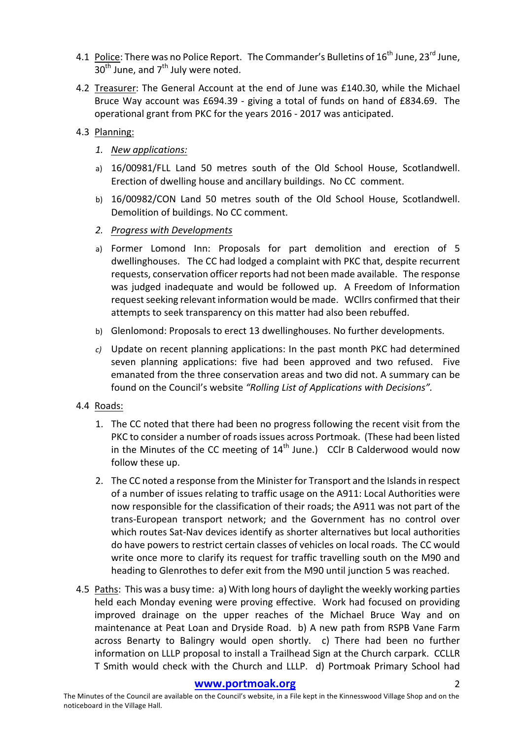- 4.1 Police: There was no Police Report. The Commander's Bulletins of  $16^{th}$  June,  $23^{rd}$  June,  $30<sup>th</sup>$  June, and  $7<sup>th</sup>$  July were noted.
- 4.2 Treasurer: The General Account at the end of June was £140.30, while the Michael Bruce Way account was £694.39 - giving a total of funds on hand of £834.69. The operational grant from PKC for the years 2016 - 2017 was anticipated.
- 4.3 Planning:
	- *1. New applications:*
	- a) 16/00981/FLL Land 50 metres south of the Old School House, Scotlandwell. Erection of dwelling house and ancillary buildings. No CC comment.
	- b) 16/00982/CON Land 50 metres south of the Old School House, Scotlandwell. Demolition of buildings. No CC comment.
	- *2. Progress with Developments*
	- a) Former Lomond Inn: Proposals for part demolition and erection of 5 dwellinghouses. The CC had lodged a complaint with PKC that, despite recurrent requests, conservation officer reports had not been made available. The response was judged inadequate and would be followed up. A Freedom of Information request seeking relevant information would be made. WCllrs confirmed that their attempts to seek transparency on this matter had also been rebuffed.
	- b) Glenlomond: Proposals to erect 13 dwellinghouses. No further developments.
	- *c*) Update on recent planning applications: In the past month PKC had determined seven planning applications: five had been approved and two refused. Five emanated from the three conservation areas and two did not. A summary can be found on the Council's website "Rolling List of Applications with Decisions".
- 4.4 Roads:
	- 1. The CC noted that there had been no progress following the recent visit from the PKC to consider a number of roads issues across Portmoak. (These had been listed in the Minutes of the CC meeting of  $14<sup>th</sup>$  June.) CClr B Calderwood would now follow these up.
	- 2. The CC noted a response from the Minister for Transport and the Islands in respect of a number of issues relating to traffic usage on the A911: Local Authorities were now responsible for the classification of their roads; the A911 was not part of the trans-European transport network; and the Government has no control over which routes Sat-Nav devices identify as shorter alternatives but local authorities do have powers to restrict certain classes of vehicles on local roads. The CC would write once more to clarify its request for traffic travelling south on the M90 and heading to Glenrothes to defer exit from the M90 until junction 5 was reached.
- 4.5 Paths: This was a busy time: a) With long hours of daylight the weekly working parties held each Monday evening were proving effective. Work had focused on providing improved drainage on the upper reaches of the Michael Bruce Way and on maintenance at Peat Loan and Dryside Road. b) A new path from RSPB Vane Farm across Benarty to Balingry would open shortly. c) There had been no further information on LLLP proposal to install a Trailhead Sign at the Church carpark. CCLLR T Smith would check with the Church and LLLP. d) Portmoak Primary School had

#### **www.portmoak.org** 2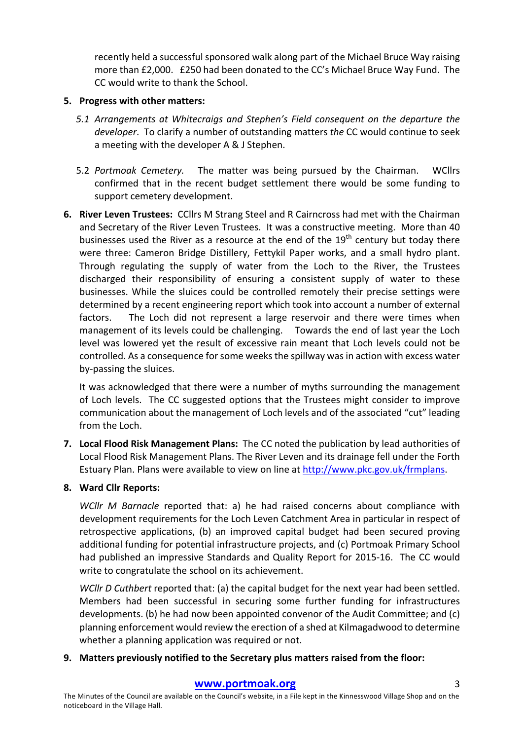recently held a successful sponsored walk along part of the Michael Bruce Way raising more than £2,000. £250 had been donated to the CC's Michael Bruce Way Fund. The CC would write to thank the School.

#### **5.** Progress with other matters:

- *5.1* Arrangements at Whitecraigs and Stephen's Field consequent on the departure the developer. To clarify a number of outstanding matters *the* CC would continue to seek a meeting with the developer A & J Stephen.
- 5.2 *Portmoak Cemetery*. The matter was being pursued by the Chairman. WCllrs confirmed that in the recent budget settlement there would be some funding to support cemetery development.
- **6.** River Leven Trustees: CCllrs M Strang Steel and R Cairncross had met with the Chairman and Secretary of the River Leven Trustees. It was a constructive meeting. More than 40 businesses used the River as a resource at the end of the  $19<sup>th</sup>$  century but today there were three: Cameron Bridge Distillery, Fettykil Paper works, and a small hydro plant. Through regulating the supply of water from the Loch to the River, the Trustees discharged their responsibility of ensuring a consistent supply of water to these businesses. While the sluices could be controlled remotely their precise settings were determined by a recent engineering report which took into account a number of external factors. The Loch did not represent a large reservoir and there were times when management of its levels could be challenging. Towards the end of last year the Loch level was lowered yet the result of excessive rain meant that Loch levels could not be controlled. As a consequence for some weeks the spillway was in action with excess water by-passing the sluices.

It was acknowledged that there were a number of myths surrounding the management of Loch levels. The CC suggested options that the Trustees might consider to improve communication about the management of Loch levels and of the associated "cut" leading from the Loch.

**7.** Local Flood Risk Management Plans: The CC noted the publication by lead authorities of Local Flood Risk Management Plans. The River Leven and its drainage fell under the Forth Estuary Plan. Plans were available to view on line at http://www.pkc.gov.uk/frmplans.

### **8. Ward Cllr Reports:**

*WCllr M Barnacle* reported that: a) he had raised concerns about compliance with development requirements for the Loch Leven Catchment Area in particular in respect of retrospective applications, (b) an improved capital budget had been secured proving additional funding for potential infrastructure projects, and (c) Portmoak Primary School had published an impressive Standards and Quality Report for 2015-16. The CC would write to congratulate the school on its achievement.

*WCllr D Cuthbert* reported that: (a) the capital budget for the next year had been settled. Members had been successful in securing some further funding for infrastructures developments. (b) he had now been appointed convenor of the Audit Committee; and  $(c)$ planning enforcement would review the erection of a shed at Kilmagadwood to determine whether a planning application was required or not.

### **9.** Matters previously notified to the Secretary plus matters raised from the floor: